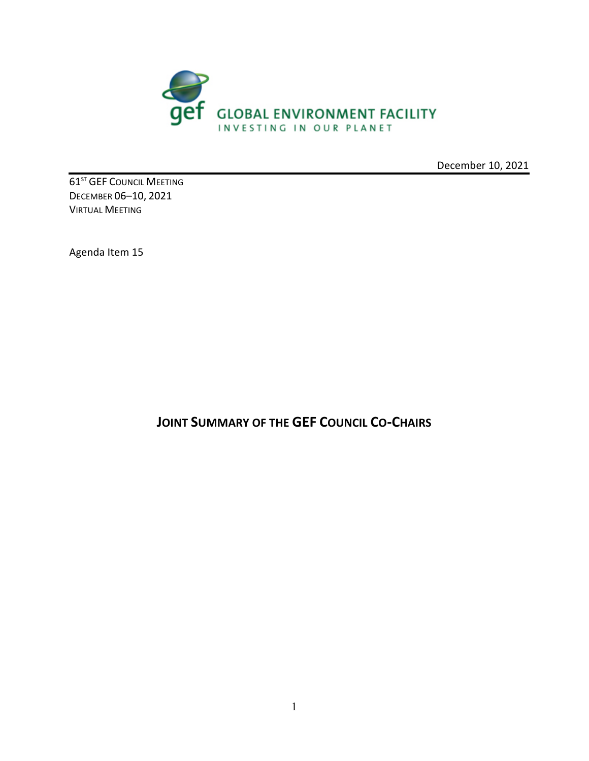

December 10, 2021

**61<sup>ST</sup> GEF COUNCIL MEETING** DECEMBER 06–10, 2021 VIRTUAL MEETING

Agenda Item 15

**JOINT SUMMARY OF THE GEF COUNCIL CO-CHAIRS**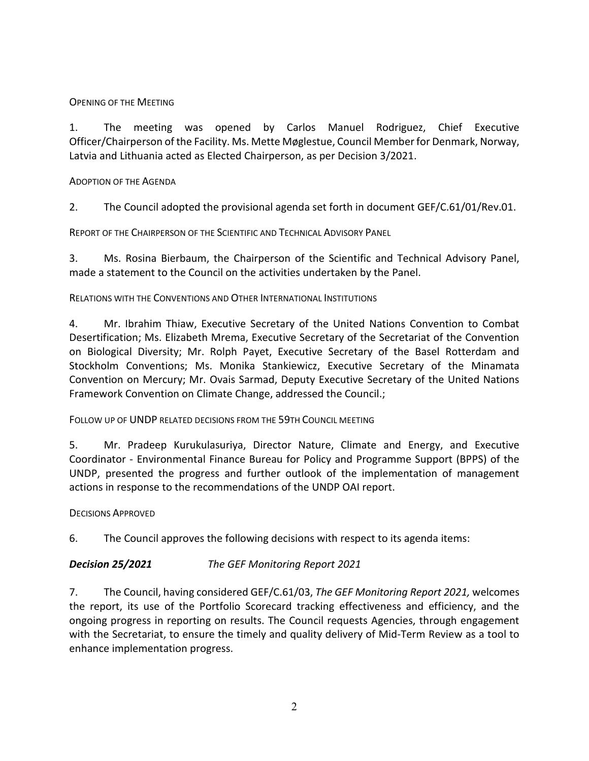OPENING OF THE MEETING

1. The meeting was opened by Carlos Manuel Rodriguez, Chief Executive Officer/Chairperson of the Facility. Ms. Mette Møglestue, Council Member for Denmark, Norway, Latvia and Lithuania acted as Elected Chairperson, as per Decision 3/2021.

ADOPTION OF THE AGENDA

2. The Council adopted the provisional agenda set forth in document GEF/C.61/01/Rev.01.

REPORT OF THE CHAIRPERSON OF THE SCIENTIFIC AND TECHNICAL ADVISORY PANEL

3. Ms. Rosina Bierbaum, the Chairperson of the Scientific and Technical Advisory Panel, made a statement to the Council on the activities undertaken by the Panel.

RELATIONS WITH THE CONVENTIONS AND OTHER INTERNATIONAL INSTITUTIONS

4. Mr. Ibrahim Thiaw, Executive Secretary of the United Nations Convention to Combat Desertification; Ms. Elizabeth Mrema, Executive Secretary of the Secretariat of the Convention on Biological Diversity; Mr. Rolph Payet, Executive Secretary of the Basel Rotterdam and Stockholm Conventions; Ms. Monika Stankiewicz, Executive Secretary of the Minamata Convention on Mercury; Mr. Ovais Sarmad, Deputy Executive Secretary of the United Nations Framework Convention on Climate Change, addressed the Council.;

FOLLOW UP OF UNDP RELATED DECISIONS FROM THE 59TH COUNCIL MEETING

5. Mr. Pradeep Kurukulasuriya, Director Nature, Climate and Energy, and Executive Coordinator - Environmental Finance Bureau for Policy and Programme Support (BPPS) of the UNDP, presented the progress and further outlook of the implementation of management actions in response to the recommendations of the UNDP OAI report.

DECISIONS APPROVED

6. The Council approves the following decisions with respect to its agenda items:

*Decision 25/2021 The GEF Monitoring Report 2021*

7. The Council, having considered GEF/C.61/03, *The GEF Monitoring Report 2021,* welcomes the report, its use of the Portfolio Scorecard tracking effectiveness and efficiency, and the ongoing progress in reporting on results. The Council requests Agencies, through engagement with the Secretariat, to ensure the timely and quality delivery of Mid-Term Review as a tool to enhance implementation progress.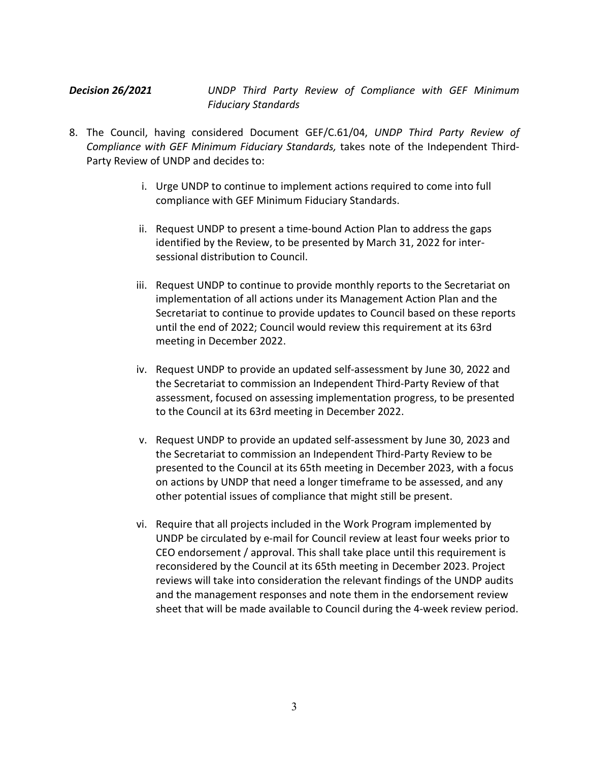*Decision 26/2021 UNDP Third Party Review of Compliance with GEF Minimum Fiduciary Standards*

- 8. The Council, having considered Document GEF/C.61/04, *UNDP Third Party Review of Compliance with GEF Minimum Fiduciary Standards,* takes note of the Independent Third-Party Review of UNDP and decides to:
	- i. Urge UNDP to continue to implement actions required to come into full compliance with GEF Minimum Fiduciary Standards.
	- ii. Request UNDP to present a time-bound Action Plan to address the gaps identified by the Review, to be presented by March 31, 2022 for intersessional distribution to Council.
	- iii. Request UNDP to continue to provide monthly reports to the Secretariat on implementation of all actions under its Management Action Plan and the Secretariat to continue to provide updates to Council based on these reports until the end of 2022; Council would review this requirement at its 63rd meeting in December 2022.
	- iv. Request UNDP to provide an updated self-assessment by June 30, 2022 and the Secretariat to commission an Independent Third-Party Review of that assessment, focused on assessing implementation progress, to be presented to the Council at its 63rd meeting in December 2022.
	- v. Request UNDP to provide an updated self-assessment by June 30, 2023 and the Secretariat to commission an Independent Third-Party Review to be presented to the Council at its 65th meeting in December 2023, with a focus on actions by UNDP that need a longer timeframe to be assessed, and any other potential issues of compliance that might still be present.
	- vi. Require that all projects included in the Work Program implemented by UNDP be circulated by e-mail for Council review at least four weeks prior to CEO endorsement / approval. This shall take place until this requirement is reconsidered by the Council at its 65th meeting in December 2023. Project reviews will take into consideration the relevant findings of the UNDP audits and the management responses and note them in the endorsement review sheet that will be made available to Council during the 4-week review period.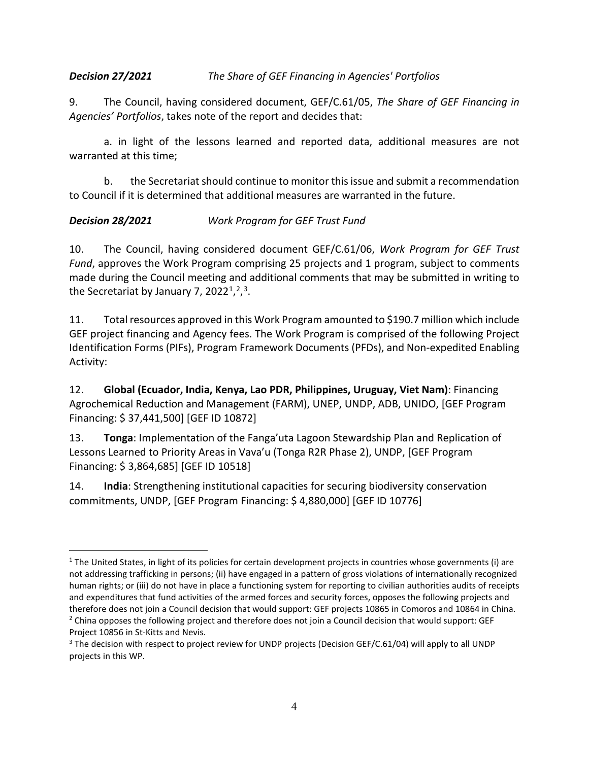### *Decision 27/2021 The Share of GEF Financing in Agencies' Portfolios*

9. The Council, having considered document, GEF/C.61/05, *The Share of GEF Financing in Agencies' Portfolios*, takes note of the report and decides that:

a. in light of the lessons learned and reported data, additional measures are not warranted at this time;

b. the Secretariat should continue to monitor this issue and submit a recommendation to Council if it is determined that additional measures are warranted in the future.

## *Decision 28/2021 Work Program for GEF Trust Fund*

10. The Council, having considered document GEF/C.61/06, *Work Program for GEF Trust Fund*, approves the Work Program comprising 25 projects and 1 program, subject to comments made during the Council meeting and additional comments that may be submitted in writing to the Secretariat by January 7, 2022<sup>[1](#page-3-0)</sup>,<sup>2</sup>,<sup>3</sup>.

11. Total resources approved in this Work Program amounted to \$190.7 million which include GEF project financing and Agency fees. The Work Program is comprised of the following Project Identification Forms (PIFs), Program Framework Documents (PFDs), and Non-expedited Enabling Activity:

12. **Global (Ecuador, India, Kenya, Lao PDR, Philippines, Uruguay, Viet Nam)**: Financing Agrochemical Reduction and Management (FARM), UNEP, UNDP, ADB, UNIDO, [GEF Program Financing: \$ 37,441,500] [GEF ID 10872]

13. **Tonga**: Implementation of the Fanga'uta Lagoon Stewardship Plan and Replication of Lessons Learned to Priority Areas in Vava'u (Tonga R2R Phase 2), UNDP, [GEF Program Financing: \$ 3,864,685] [GEF ID 10518]

14. **India**: Strengthening institutional capacities for securing biodiversity conservation commitments, UNDP, [GEF Program Financing: \$ 4,880,000] [GEF ID 10776]

<span id="page-3-0"></span> $1$  The United States, in light of its policies for certain development projects in countries whose governments (i) are not addressing trafficking in persons; (ii) have engaged in a pattern of gross violations of internationally recognized human rights; or (iii) do not have in place a functioning system for reporting to civilian authorities audits of receipts and expenditures that fund activities of the armed forces and security forces, opposes the following projects and therefore does not join a Council decision that would support: GEF projects 10865 in Comoros and 10864 in China. <sup>2</sup> China opposes the following project and therefore does not join a Council decision that would support: GEF Project 10856 in St-Kitts and Nevis.

<span id="page-3-2"></span><span id="page-3-1"></span><sup>&</sup>lt;sup>3</sup> The decision with respect to project review for UNDP projects (Decision GEF/C.61/04) will apply to all UNDP projects in this WP.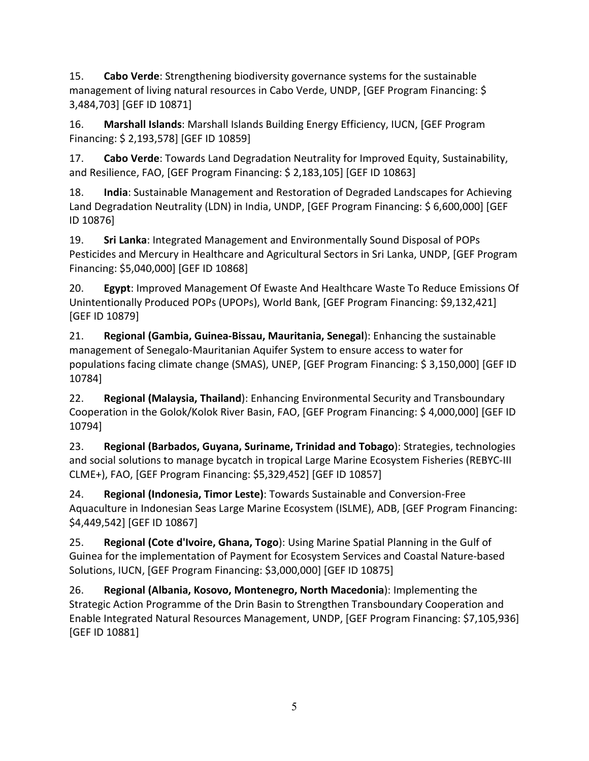15. **Cabo Verde**: Strengthening biodiversity governance systems for the sustainable management of living natural resources in Cabo Verde, UNDP, [GEF Program Financing: \$ 3,484,703] [GEF ID 10871]

16. **Marshall Islands**: Marshall Islands Building Energy Efficiency, IUCN, [GEF Program Financing: \$ 2,193,578] [GEF ID 10859]

17. **Cabo Verde**: Towards Land Degradation Neutrality for Improved Equity, Sustainability, and Resilience, FAO, [GEF Program Financing: \$ 2,183,105] [GEF ID 10863]

18. **India**: Sustainable Management and Restoration of Degraded Landscapes for Achieving Land Degradation Neutrality (LDN) in India, UNDP, [GEF Program Financing: \$ 6,600,000] [GEF ID 10876]

19. **Sri Lanka**: Integrated Management and Environmentally Sound Disposal of POPs Pesticides and Mercury in Healthcare and Agricultural Sectors in Sri Lanka, UNDP, [GEF Program Financing: \$5,040,000] [GEF ID 10868]

20. **Egypt**: Improved Management Of Ewaste And Healthcare Waste To Reduce Emissions Of Unintentionally Produced POPs (UPOPs), World Bank, [GEF Program Financing: \$9,132,421] [GEF ID 10879]

21. **Regional (Gambia, Guinea-Bissau, Mauritania, Senegal**): Enhancing the sustainable management of Senegalo-Mauritanian Aquifer System to ensure access to water for populations facing climate change (SMAS), UNEP, [GEF Program Financing: \$ 3,150,000] [GEF ID 10784]

22. **Regional (Malaysia, Thailand**): Enhancing Environmental Security and Transboundary Cooperation in the Golok/Kolok River Basin, FAO, [GEF Program Financing: \$ 4,000,000] [GEF ID 10794]

23. **Regional (Barbados, Guyana, Suriname, Trinidad and Tobago**): Strategies, technologies and social solutions to manage bycatch in tropical Large Marine Ecosystem Fisheries (REBYC-III CLME+), FAO, [GEF Program Financing: \$5,329,452] [GEF ID 10857]

24. **Regional (Indonesia, Timor Leste)**: Towards Sustainable and Conversion-Free Aquaculture in Indonesian Seas Large Marine Ecosystem (ISLME), ADB, [GEF Program Financing: \$4,449,542] [GEF ID 10867]

25. **Regional (Cote d'Ivoire, Ghana, Togo**): Using Marine Spatial Planning in the Gulf of Guinea for the implementation of Payment for Ecosystem Services and Coastal Nature-based Solutions, IUCN, [GEF Program Financing: \$3,000,000] [GEF ID 10875]

26. **Regional (Albania, Kosovo, Montenegro, North Macedonia**): Implementing the Strategic Action Programme of the Drin Basin to Strengthen Transboundary Cooperation and Enable Integrated Natural Resources Management, UNDP, [GEF Program Financing: \$7,105,936] [GEF ID 10881]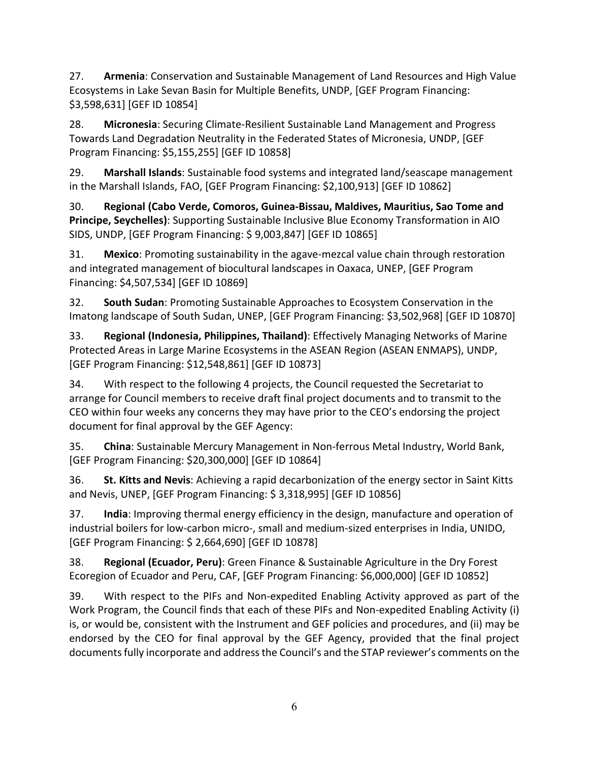27. **Armenia**: Conservation and Sustainable Management of Land Resources and High Value Ecosystems in Lake Sevan Basin for Multiple Benefits, UNDP, [GEF Program Financing: \$3,598,631] [GEF ID 10854]

28. **Micronesia**: Securing Climate-Resilient Sustainable Land Management and Progress Towards Land Degradation Neutrality in the Federated States of Micronesia, UNDP, [GEF Program Financing: \$5,155,255] [GEF ID 10858]

29. **Marshall Islands**: Sustainable food systems and integrated land/seascape management in the Marshall Islands, FAO, [GEF Program Financing: \$2,100,913] [GEF ID 10862]

30. **Regional (Cabo Verde, Comoros, Guinea-Bissau, Maldives, Mauritius, Sao Tome and Principe, Seychelles)**: Supporting Sustainable Inclusive Blue Economy Transformation in AIO SIDS, UNDP, [GEF Program Financing: \$ 9,003,847] [GEF ID 10865]

31. **Mexico**: Promoting sustainability in the agave-mezcal value chain through restoration and integrated management of biocultural landscapes in Oaxaca, UNEP, [GEF Program Financing: \$4,507,534] [GEF ID 10869]

32. **South Sudan**: Promoting Sustainable Approaches to Ecosystem Conservation in the Imatong landscape of South Sudan, UNEP, [GEF Program Financing: \$3,502,968] [GEF ID 10870]

33. **Regional (Indonesia, Philippines, Thailand)**: Effectively Managing Networks of Marine Protected Areas in Large Marine Ecosystems in the ASEAN Region (ASEAN ENMAPS), UNDP, [GEF Program Financing: \$12,548,861] [GEF ID 10873]

34. With respect to the following 4 projects, the Council requested the Secretariat to arrange for Council members to receive draft final project documents and to transmit to the CEO within four weeks any concerns they may have prior to the CEO's endorsing the project document for final approval by the GEF Agency:

35. **China**: Sustainable Mercury Management in Non-ferrous Metal Industry, World Bank, [GEF Program Financing: \$20,300,000] [GEF ID 10864]

36. **St. Kitts and Nevis**: Achieving a rapid decarbonization of the energy sector in Saint Kitts and Nevis, UNEP, [GEF Program Financing: \$ 3,318,995] [GEF ID 10856]

37. **India**: Improving thermal energy efficiency in the design, manufacture and operation of industrial boilers for low-carbon micro-, small and medium-sized enterprises in India, UNIDO, [GEF Program Financing: \$ 2,664,690] [GEF ID 10878]

38. **Regional (Ecuador, Peru)**: Green Finance & Sustainable Agriculture in the Dry Forest Ecoregion of Ecuador and Peru, CAF, [GEF Program Financing: \$6,000,000] [GEF ID 10852]

39. With respect to the PIFs and Non-expedited Enabling Activity approved as part of the Work Program, the Council finds that each of these PIFs and Non-expedited Enabling Activity (i) is, or would be, consistent with the Instrument and GEF policies and procedures, and (ii) may be endorsed by the CEO for final approval by the GEF Agency, provided that the final project documents fully incorporate and address the Council's and the STAP reviewer's comments on the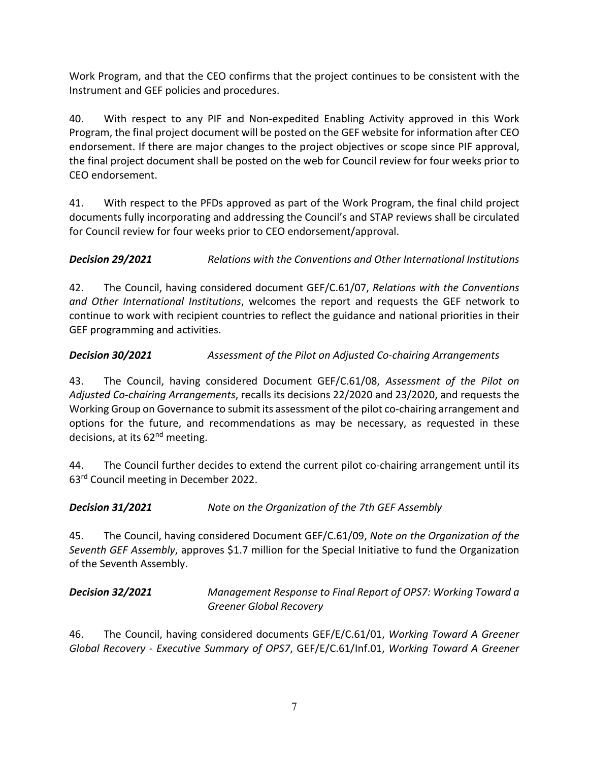Work Program, and that the CEO confirms that the project continues to be consistent with the Instrument and GEF policies and procedures.

40. With respect to any PIF and Non-expedited Enabling Activity approved in this Work Program, the final project document will be posted on the GEF website for information after CEO endorsement. If there are major changes to the project objectives or scope since PIF approval, the final project document shall be posted on the web for Council review for four weeks prior to CEO endorsement.

41. With respect to the PFDs approved as part of the Work Program, the final child project documents fully incorporating and addressing the Council's and STAP reviews shall be circulated for Council review for four weeks prior to CEO endorsement/approval.

*Decision 29/2021 Relations with the Conventions and Other International Institutions*

42. The Council, having considered document GEF/C.61/07, *Relations with the Conventions and Other International Institutions*, welcomes the report and requests the GEF network to continue to work with recipient countries to reflect the guidance and national priorities in their GEF programming and activities.

## *Decision 30/2021 Assessment of the Pilot on Adjusted Co-chairing Arrangements*

43. The Council, having considered Document GEF/C.61/08, *Assessment of the Pilot on Adjusted Co-chairing Arrangements*, recalls its decisions 22/2020 and 23/2020, and requests the Working Group on Governance to submit its assessment of the pilot co-chairing arrangement and options for the future, and recommendations as may be necessary, as requested in these decisions, at its 62<sup>nd</sup> meeting.

44. The Council further decides to extend the current pilot co-chairing arrangement until its 63rd Council meeting in December 2022.

*Decision 31/2021 Note on the Organization of the 7th GEF Assembly*

45. The Council, having considered Document GEF/C.61/09, *Note on the Organization of the Seventh GEF Assembly*, approves \$1.7 million for the Special Initiative to fund the Organization of the Seventh Assembly.

*Decision 32/2021 Management Response to Final Report of OPS7: Working Toward a Greener Global Recovery*

46. The Council, having considered documents GEF/E/C.61/01, *Working Toward A Greener Global Recovery - Executive Summary of OPS7*, GEF/E/C.61/Inf.01, *Working Toward A Greener*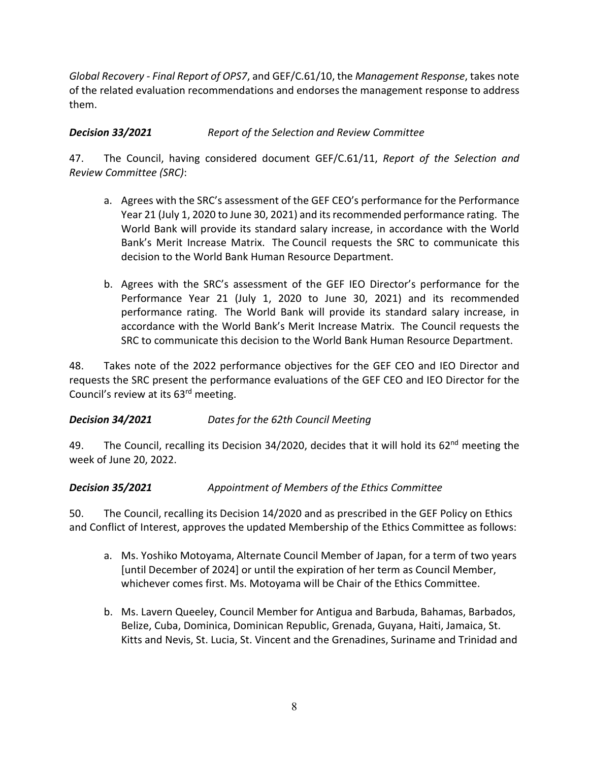*Global Recovery - Final Report of OPS7*, and GEF/C.61/10, the *Management Response*, takes note of the related evaluation recommendations and endorses the management response to address them.

# *Decision 33/2021 Report of the Selection and Review Committee*

47. The Council, having considered document GEF/C.61/11, *Report of the Selection and Review Committee (SRC)*:

- a. Agrees with the SRC's assessment of the GEF CEO's performance for the Performance Year 21 (July 1, 2020 to June 30, 2021) and its recommended performance rating. The World Bank will provide its standard salary increase, in accordance with the World Bank's Merit Increase Matrix. The Council requests the SRC to communicate this decision to the World Bank Human Resource Department.
- b. Agrees with the SRC's assessment of the GEF IEO Director's performance for the Performance Year 21 (July 1, 2020 to June 30, 2021) and its recommended performance rating. The World Bank will provide its standard salary increase, in accordance with the World Bank's Merit Increase Matrix. The Council requests the SRC to communicate this decision to the World Bank Human Resource Department.

48. Takes note of the 2022 performance objectives for the GEF CEO and IEO Director and requests the SRC present the performance evaluations of the GEF CEO and IEO Director for the Council's review at its 63rd meeting.

# *Decision 34/2021 Dates for the 62th Council Meeting*

49. The Council, recalling its Decision 34/2020, decides that it will hold its 62<sup>nd</sup> meeting the week of June 20, 2022.

# *Decision 35/2021 Appointment of Members of the Ethics Committee*

50. The Council, recalling its Decision 14/2020 and as prescribed in the GEF Policy on Ethics and Conflict of Interest, approves the updated Membership of the Ethics Committee as follows:

- a. Ms. Yoshiko Motoyama, Alternate Council Member of Japan, for a term of two years [until December of 2024] or until the expiration of her term as Council Member, whichever comes first. Ms. Motoyama will be Chair of the Ethics Committee.
- b. Ms. Lavern Queeley, Council Member for Antigua and Barbuda, Bahamas, Barbados, Belize, Cuba, Dominica, Dominican Republic, Grenada, Guyana, Haiti, Jamaica, St. Kitts and Nevis, St. Lucia, St. Vincent and the Grenadines, Suriname and Trinidad and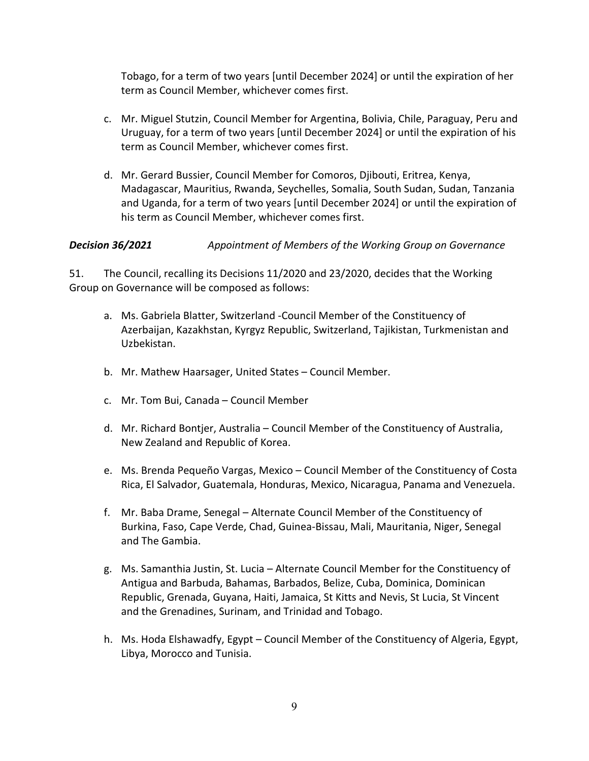Tobago, for a term of two years [until December 2024] or until the expiration of her term as Council Member, whichever comes first.

- c. Mr. Miguel Stutzin, Council Member for Argentina, Bolivia, Chile, Paraguay, Peru and Uruguay, for a term of two years [until December 2024] or until the expiration of his term as Council Member, whichever comes first.
- d. Mr. Gerard Bussier, Council Member for Comoros, Djibouti, Eritrea, Kenya, Madagascar, Mauritius, Rwanda, Seychelles, Somalia, South Sudan, Sudan, Tanzania and Uganda, for a term of two years [until December 2024] or until the expiration of his term as Council Member, whichever comes first.

*Decision 36/2021 Appointment of Members of the Working Group on Governance*

51. The Council, recalling its Decisions 11/2020 and 23/2020, decides that the Working Group on Governance will be composed as follows:

- a. Ms. Gabriela Blatter, Switzerland -Council Member of the Constituency of Azerbaijan, Kazakhstan, Kyrgyz Republic, Switzerland, Tajikistan, Turkmenistan and Uzbekistan.
- b. Mr. Mathew Haarsager, United States Council Member.
- c. Mr. Tom Bui, Canada Council Member
- d. Mr. Richard Bontjer, Australia Council Member of the Constituency of Australia, New Zealand and Republic of Korea.
- e. Ms. Brenda Pequeño Vargas, Mexico Council Member of the Constituency of Costa Rica, El Salvador, Guatemala, Honduras, Mexico, Nicaragua, Panama and Venezuela.
- f. Mr. Baba Drame, Senegal Alternate Council Member of the Constituency of Burkina, Faso, Cape Verde, Chad, Guinea-Bissau, Mali, Mauritania, Niger, Senegal and The Gambia.
- g. Ms. Samanthia Justin, St. Lucia Alternate Council Member for the Constituency of Antigua and Barbuda, Bahamas, Barbados, Belize, Cuba, Dominica, Dominican Republic, Grenada, Guyana, Haiti, Jamaica, St Kitts and Nevis, St Lucia, St Vincent and the Grenadines, Surinam, and Trinidad and Tobago.
- h. Ms. Hoda Elshawadfy, Egypt Council Member of the Constituency of Algeria, Egypt, Libya, Morocco and Tunisia.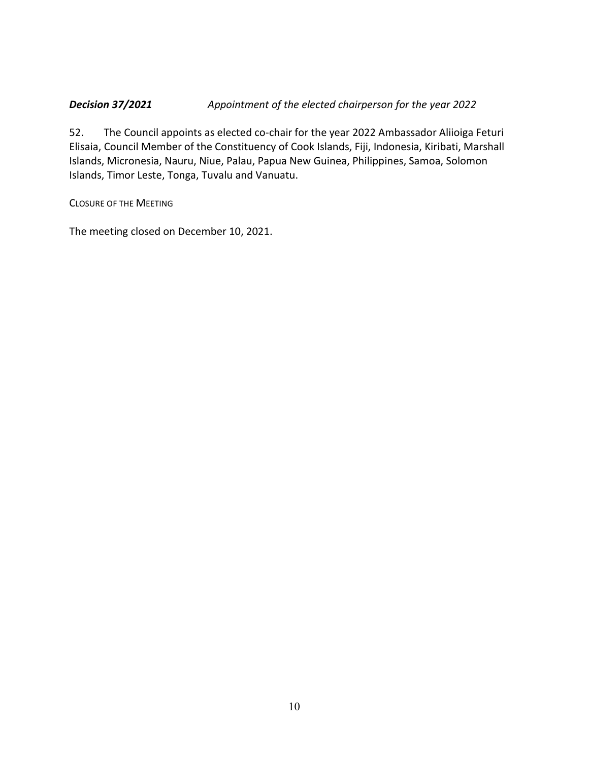### *Decision 37/2021 Appointment of the elected chairperson for the year 2022*

52. The Council appoints as elected co-chair for the year 2022 Ambassador Aliioiga Feturi Elisaia, Council Member of the Constituency of Cook Islands, Fiji, Indonesia, Kiribati, Marshall Islands, Micronesia, Nauru, Niue, Palau, Papua New Guinea, Philippines, Samoa, Solomon Islands, Timor Leste, Tonga, Tuvalu and Vanuatu.

CLOSURE OF THE MEETING

The meeting closed on December 10, 2021.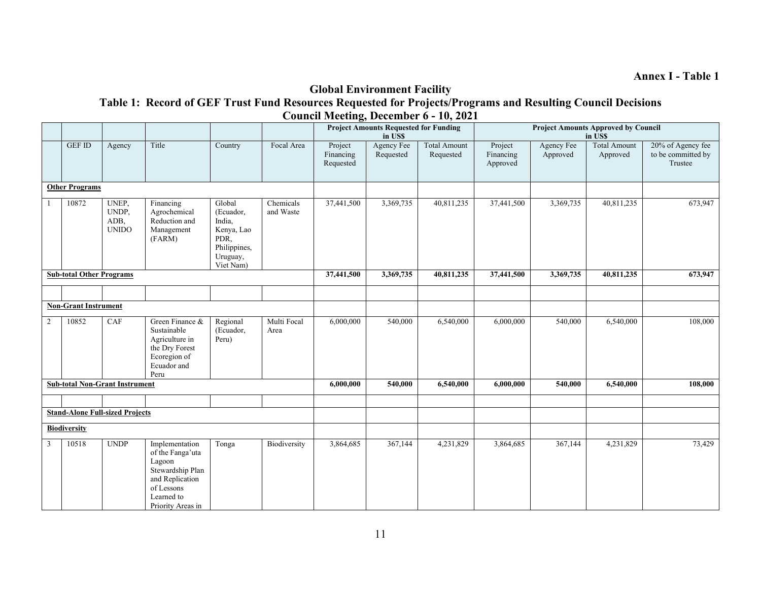## **Global Environment Facility**

**Table 1: Record of GEF Trust Fund Resources Requested for Projects/Programs and Resulting Council Decisions Council Meeting, December 6 - 10, 2021**

|   |                                 |                                        |                                                                                                                                      |                                                                                              |                        |                                   | <b>Project Amounts Requested for Funding</b><br>in US\$ |                                  | <b>Project Amounts Approved by Council</b><br>in US\$ |                               |                                 |                                                    |
|---|---------------------------------|----------------------------------------|--------------------------------------------------------------------------------------------------------------------------------------|----------------------------------------------------------------------------------------------|------------------------|-----------------------------------|---------------------------------------------------------|----------------------------------|-------------------------------------------------------|-------------------------------|---------------------------------|----------------------------------------------------|
|   | <b>GEF ID</b>                   | Agency                                 | Title                                                                                                                                | Country                                                                                      | Focal Area             | Project<br>Financing<br>Requested | Agency Fee<br>Requested                                 | <b>Total Amount</b><br>Requested | Project<br>Financing<br>Approved                      | <b>Agency Fee</b><br>Approved | <b>Total Amount</b><br>Approved | 20% of Agency fee<br>to be committed by<br>Trustee |
|   | <b>Other Programs</b>           |                                        |                                                                                                                                      |                                                                                              |                        |                                   |                                                         |                                  |                                                       |                               |                                 |                                                    |
|   | 10872                           | UNEP,<br>UNDP,<br>ADB,<br><b>UNIDO</b> | Financing<br>Agrochemical<br>Reduction and<br>Management<br>(FARM)                                                                   | Global<br>(Ecuador,<br>India,<br>Kenya, Lao<br>PDR,<br>Philippines,<br>Uruguay,<br>Viet Nam) | Chemicals<br>and Waste | 37,441,500                        | 3,369,735                                               | 40,811,235                       | 37,441,500                                            | 3,369,735                     | 40,811,235                      | 673,947                                            |
|   | <b>Sub-total Other Programs</b> |                                        |                                                                                                                                      |                                                                                              |                        | 37,441,500                        | 3,369,735                                               | 40,811,235                       | 37,441,500                                            | 3,369,735                     | 40,811,235                      | 673,947                                            |
|   |                                 |                                        |                                                                                                                                      |                                                                                              |                        |                                   |                                                         |                                  |                                                       |                               |                                 |                                                    |
|   | <b>Non-Grant Instrument</b>     |                                        |                                                                                                                                      |                                                                                              |                        |                                   |                                                         |                                  |                                                       |                               |                                 |                                                    |
| 2 | 10852                           | CAF                                    | Green Finance &<br>Sustainable<br>Agriculture in<br>the Dry Forest<br>Ecoregion of<br>Ecuador and<br>Peru                            | Regional<br>(Ecuador,<br>Peru)                                                               | Multi Focal<br>Area    | 6,000,000                         | 540,000                                                 | 6,540,000                        | 6,000,000                                             | 540,000                       | 6,540,000                       | 108,000                                            |
|   |                                 | <b>Sub-total Non-Grant Instrument</b>  |                                                                                                                                      |                                                                                              |                        | 6,000,000                         | 540,000                                                 | 6,540,000                        | 6,000,000                                             | 540,000                       | 6,540,000                       | 108,000                                            |
|   |                                 |                                        |                                                                                                                                      |                                                                                              |                        |                                   |                                                         |                                  |                                                       |                               |                                 |                                                    |
|   |                                 | <b>Stand-Alone Full-sized Projects</b> |                                                                                                                                      |                                                                                              |                        |                                   |                                                         |                                  |                                                       |                               |                                 |                                                    |
|   | <b>Biodiversity</b>             |                                        |                                                                                                                                      |                                                                                              |                        |                                   |                                                         |                                  |                                                       |                               |                                 |                                                    |
| 3 | 10518                           | <b>UNDP</b>                            | Implementation<br>of the Fanga'uta<br>Lagoon<br>Stewardship Plan<br>and Replication<br>of Lessons<br>Learned to<br>Priority Areas in | Tonga                                                                                        | Biodiversity           | 3,864,685                         | 367,144                                                 | 4,231,829                        | 3,864,685                                             | 367,144                       | 4,231,829                       | 73,429                                             |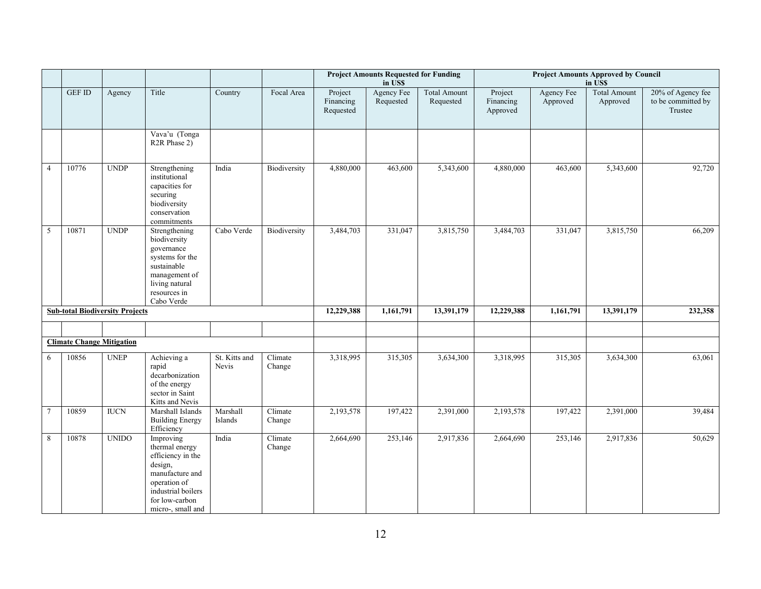|                |                                  |                                        |                                                                                                                                                             |                        |                   |                                   | <b>Project Amounts Requested for Funding</b><br>in US\$ |                                  | <b>Project Amounts Approved by Council</b><br>in US\$ |                               |                                 |                                                    |
|----------------|----------------------------------|----------------------------------------|-------------------------------------------------------------------------------------------------------------------------------------------------------------|------------------------|-------------------|-----------------------------------|---------------------------------------------------------|----------------------------------|-------------------------------------------------------|-------------------------------|---------------------------------|----------------------------------------------------|
|                | $\mathop{\rm GEF}\nolimits$ ID   | Agency                                 | Title                                                                                                                                                       | Country                | Focal Area        | Project<br>Financing<br>Requested | Agency Fee<br>Requested                                 | <b>Total Amount</b><br>Requested | Project<br>Financing<br>Approved                      | <b>Agency Fee</b><br>Approved | <b>Total Amount</b><br>Approved | 20% of Agency fee<br>to be committed by<br>Trustee |
|                |                                  |                                        | Vava'u (Tonga<br>R <sub>2</sub> R Phase 2)                                                                                                                  |                        |                   |                                   |                                                         |                                  |                                                       |                               |                                 |                                                    |
| $\overline{4}$ | 10776                            | <b>UNDP</b>                            | Strengthening<br>institutional<br>capacities for<br>securing<br>biodiversity<br>conservation<br>commitments                                                 | India                  | Biodiversity      | 4,880,000                         | 463,600                                                 | 5,343,600                        | 4,880,000                                             | 463,600                       | 5,343,600                       | 92,720                                             |
| $\sqrt{5}$     | 10871                            | <b>UNDP</b>                            | Strengthening<br>biodiversity<br>governance<br>systems for the<br>sustainable<br>management of<br>living natural<br>resources in<br>Cabo Verde              | Cabo Verde             | Biodiversity      | 3,484,703                         | 331,047                                                 | 3,815,750                        | 3,484,703                                             | 331,047                       | 3,815,750                       | 66,209                                             |
|                |                                  | <b>Sub-total Biodiversity Projects</b> |                                                                                                                                                             |                        |                   | 12,229,388                        | 1,161,791                                               | 13,391,179                       | 12,229,388                                            | 1,161,791                     | 13,391,179                      | 232,358                                            |
|                |                                  |                                        |                                                                                                                                                             |                        |                   |                                   |                                                         |                                  |                                                       |                               |                                 |                                                    |
|                | <b>Climate Change Mitigation</b> |                                        |                                                                                                                                                             |                        |                   |                                   |                                                         |                                  |                                                       |                               |                                 |                                                    |
| 6              | 10856                            | <b>UNEP</b>                            | Achieving a<br>rapid<br>decarbonization<br>of the energy<br>sector in Saint<br>Kitts and Nevis                                                              | St. Kitts and<br>Nevis | Climate<br>Change | 3,318,995                         | 315,305                                                 | 3,634,300                        | 3,318,995                                             | 315,305                       | 3,634,300                       | 63,061                                             |
| $\tau$         | 10859                            | <b>IUCN</b>                            | Marshall Islands<br><b>Building Energy</b><br>Efficiency                                                                                                    | Marshall<br>Islands    | Climate<br>Change | 2,193,578                         | 197,422                                                 | 2,391,000                        | 2,193,578                                             | 197,422                       | 2,391,000                       | 39,484                                             |
| 8              | 10878                            | <b>UNIDO</b>                           | Improving<br>thermal energy<br>efficiency in the<br>design,<br>manufacture and<br>operation of<br>industrial boilers<br>for low-carbon<br>micro-, small and | India                  | Climate<br>Change | 2,664,690                         | 253,146                                                 | 2,917,836                        | 2,664,690                                             | 253,146                       | 2,917,836                       | 50,629                                             |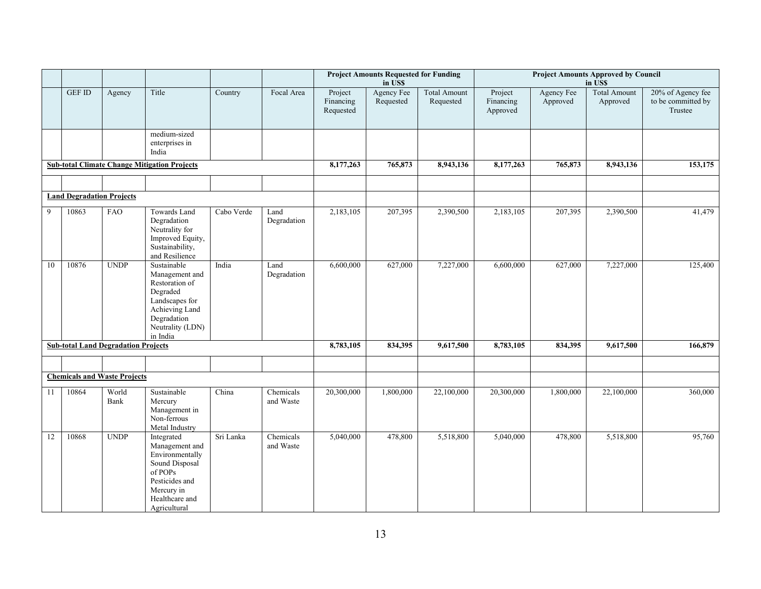|    |                                  |                                            |                                                                                                                                                     |            |                        | <b>Project Amounts Requested for Funding</b><br>in US\$ |                         |                                  | <b>Project Amounts Approved by Council</b><br>in US\$ |                               |                                 |                                                    |
|----|----------------------------------|--------------------------------------------|-----------------------------------------------------------------------------------------------------------------------------------------------------|------------|------------------------|---------------------------------------------------------|-------------------------|----------------------------------|-------------------------------------------------------|-------------------------------|---------------------------------|----------------------------------------------------|
|    | <b>GEF ID</b>                    | Agency                                     | Title                                                                                                                                               | Country    | Focal Area             | Project<br>Financing<br>Requested                       | Agency Fee<br>Requested | <b>Total Amount</b><br>Requested | Project<br>Financing<br>Approved                      | <b>Agency Fee</b><br>Approved | <b>Total Amount</b><br>Approved | 20% of Agency fee<br>to be committed by<br>Trustee |
|    |                                  |                                            | medium-sized<br>enterprises in<br>India                                                                                                             |            |                        |                                                         |                         |                                  |                                                       |                               |                                 |                                                    |
|    |                                  |                                            | <b>Sub-total Climate Change Mitigation Projects</b>                                                                                                 |            |                        | 8,177,263                                               | 765,873                 | 8,943,136                        | 8,177,263                                             | 765,873                       | 8,943,136                       | 153,175                                            |
|    |                                  |                                            |                                                                                                                                                     |            |                        |                                                         |                         |                                  |                                                       |                               |                                 |                                                    |
|    | <b>Land Degradation Projects</b> |                                            |                                                                                                                                                     |            |                        |                                                         |                         |                                  |                                                       |                               |                                 |                                                    |
| 9  | 10863                            | <b>FAO</b>                                 | Towards Land<br>Degradation<br>Neutrality for<br>Improved Equity,<br>Sustainability,<br>and Resilience                                              | Cabo Verde | Land<br>Degradation    | 2,183,105                                               | 207,395                 | 2,390,500                        | 2,183,105                                             | 207,395                       | 2,390,500                       | 41,479                                             |
| 10 | 10876                            | <b>UNDP</b>                                | Sustainable<br>Management and<br>Restoration of<br>Degraded<br>Landscapes for<br>Achieving Land<br>Degradation<br>Neutrality (LDN)<br>in India      | India      | Land<br>Degradation    | 6,600,000                                               | 627,000                 | 7,227,000                        | 6,600,000                                             | 627,000                       | 7,227,000                       | 125,400                                            |
|    |                                  | <b>Sub-total Land Degradation Projects</b> |                                                                                                                                                     |            |                        | 8,783,105                                               | 834,395                 | 9,617,500                        | 8,783,105                                             | 834,395                       | 9,617,500                       | 166,879                                            |
|    |                                  |                                            |                                                                                                                                                     |            |                        |                                                         |                         |                                  |                                                       |                               |                                 |                                                    |
|    |                                  | <b>Chemicals and Waste Projects</b>        |                                                                                                                                                     |            |                        |                                                         |                         |                                  |                                                       |                               |                                 |                                                    |
| 11 | 10864                            | World<br>Bank                              | Sustainable<br>Mercury<br>Management in<br>Non-ferrous<br>Metal Industry                                                                            | China      | Chemicals<br>and Waste | 20,300,000                                              | 1,800,000               | 22,100,000                       | 20,300,000                                            | 1,800,000                     | 22,100,000                      | 360,000                                            |
| 12 | 10868                            | <b>UNDP</b>                                | Integrated<br>Management and<br>Environmentally<br>Sound Disposal<br>of POPs $\,$<br>Pesticides and<br>Mercury in<br>Healthcare and<br>Agricultural | Sri Lanka  | Chemicals<br>and Waste | 5,040,000                                               | 478,800                 | 5,518,800                        | 5,040,000                                             | 478,800                       | 5,518,800                       | 95,760                                             |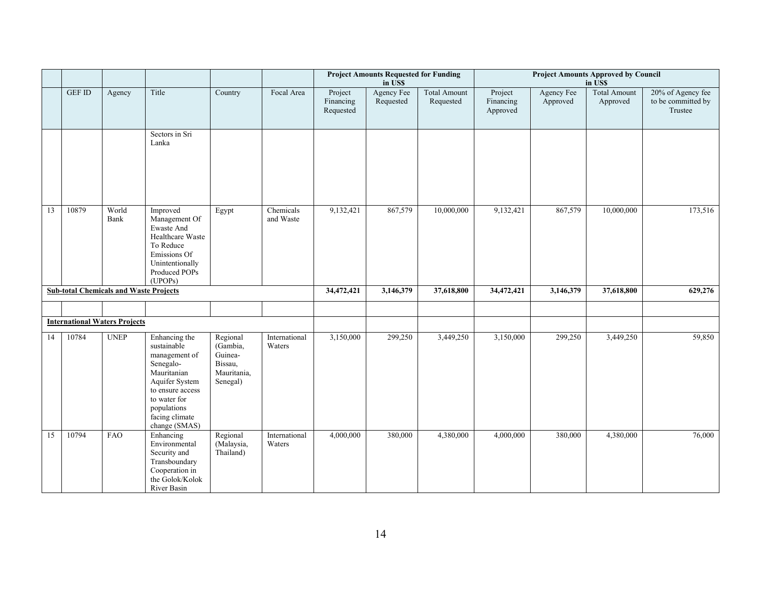|    |               |                                               |                                                                                                                                                                                   |                                                                       |                         | <b>Project Amounts Requested for Funding</b><br>in US\$ |                         |                                  | <b>Project Amounts Approved by Council</b><br>in US\$ |                        |                                 |                                                    |  |
|----|---------------|-----------------------------------------------|-----------------------------------------------------------------------------------------------------------------------------------------------------------------------------------|-----------------------------------------------------------------------|-------------------------|---------------------------------------------------------|-------------------------|----------------------------------|-------------------------------------------------------|------------------------|---------------------------------|----------------------------------------------------|--|
|    | <b>GEF ID</b> | Agency                                        | Title                                                                                                                                                                             | Country                                                               | Focal Area              | Project<br>Financing<br>Requested                       | Agency Fee<br>Requested | <b>Total Amount</b><br>Requested | Project<br>Financing<br>Approved                      | Agency Fee<br>Approved | <b>Total Amount</b><br>Approved | 20% of Agency fee<br>to be committed by<br>Trustee |  |
|    |               |                                               | Sectors in Sri<br>Lanka                                                                                                                                                           |                                                                       |                         |                                                         |                         |                                  |                                                       |                        |                                 |                                                    |  |
| 13 | 10879         | World<br>Bank                                 | Improved<br>Management Of<br>Ewaste And<br>Healthcare Waste<br>To Reduce<br>Emissions Of<br>Unintentionally<br>Produced POPs<br>(UPOPs)                                           | Egypt                                                                 | Chemicals<br>and Waste  | 9,132,421                                               | 867,579                 | 10,000,000                       | 9,132,421                                             | 867,579                | 10,000,000                      | 173,516                                            |  |
|    |               | <b>Sub-total Chemicals and Waste Projects</b> |                                                                                                                                                                                   |                                                                       |                         | 34,472,421                                              | 3,146,379               | 37,618,800                       | 34,472,421                                            | 3,146,379              | 37,618,800                      | 629,276                                            |  |
|    |               |                                               |                                                                                                                                                                                   |                                                                       |                         |                                                         |                         |                                  |                                                       |                        |                                 |                                                    |  |
|    |               | <b>International Waters Projects</b>          |                                                                                                                                                                                   |                                                                       |                         |                                                         |                         |                                  |                                                       |                        |                                 |                                                    |  |
| 14 | 10784         | <b>UNEP</b>                                   | Enhancing the<br>sustainable<br>management of<br>Senegalo-<br>Mauritanian<br>Aquifer System<br>to ensure access<br>to water for<br>populations<br>facing climate<br>change (SMAS) | Regional<br>(Gambia,<br>Guinea-<br>Bissau,<br>Mauritania,<br>Senegal) | International<br>Waters | 3,150,000                                               | 299,250                 | 3,449,250                        | 3,150,000                                             | 299,250                | 3,449,250                       | 59,850                                             |  |
| 15 | 10794         | FAO                                           | Enhancing<br>Environmental<br>Security and<br>Transboundary<br>Cooperation in<br>the Golok/Kolok<br>River Basin                                                                   | Regional<br>(Malaysia,<br>Thailand)                                   | International<br>Waters | 4,000,000                                               | 380,000                 | 4,380,000                        | 4,000,000                                             | 380,000                | 4,380,000                       | 76,000                                             |  |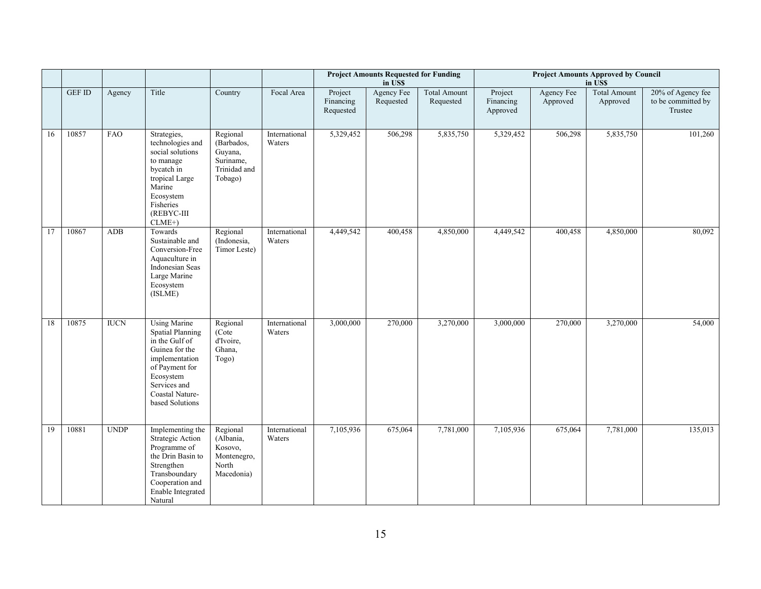|    |                         |             |                                                                                                                                                                                           |                                                                           |                         |                                   | <b>Project Amounts Requested for Funding</b><br>in US\$ |                                  | <b>Project Amounts Approved by Council</b><br>in US\$ |                               |                                 |                                                    |  |
|----|-------------------------|-------------|-------------------------------------------------------------------------------------------------------------------------------------------------------------------------------------------|---------------------------------------------------------------------------|-------------------------|-----------------------------------|---------------------------------------------------------|----------------------------------|-------------------------------------------------------|-------------------------------|---------------------------------|----------------------------------------------------|--|
|    | $\operatorname{GEF}$ ID | Agency      | Title                                                                                                                                                                                     | Country                                                                   | Focal Area              | Project<br>Financing<br>Requested | Agency Fee<br>Requested                                 | <b>Total Amount</b><br>Requested | Project<br>Financing<br>Approved                      | <b>Agency Fee</b><br>Approved | <b>Total Amount</b><br>Approved | 20% of Agency fee<br>to be committed by<br>Trustee |  |
| 16 | 10857                   | FAO         | Strategies,<br>technologies and<br>social solutions<br>to manage<br>bycatch in<br>tropical Large<br>Marine<br>Ecosystem<br>Fisheries<br>(REBYC-III<br>$CLME+$                             | Regional<br>(Barbados,<br>Guyana,<br>Suriname,<br>Trinidad and<br>Tobago) | International<br>Waters | 5,329,452                         | 506,298                                                 | 5,835,750                        | 5,329,452                                             | 506,298                       | 5,835,750                       | 101,260                                            |  |
| 17 | 10867                   | <b>ADB</b>  | Towards<br>Sustainable and<br>Conversion-Free<br>Aquaculture in<br>Indonesian Seas<br>Large Marine<br>Ecosystem<br>(ISLME)                                                                | Regional<br>(Indonesia,<br>Timor Leste)                                   | International<br>Waters | 4,449,542                         | 400,458                                                 | 4,850,000                        | 4,449,542                                             | 400,458                       | 4,850,000                       | 80,092                                             |  |
| 18 | 10875                   | <b>IUCN</b> | <b>Using Marine</b><br><b>Spatial Planning</b><br>in the Gulf of<br>Guinea for the<br>implementation<br>of Payment for<br>Ecosystem<br>Services and<br>Coastal Nature-<br>based Solutions | Regional<br>(Cote<br>d'Ivoire,<br>Ghana,<br>Togo)                         | International<br>Waters | 3,000,000                         | 270,000                                                 | 3,270,000                        | 3,000,000                                             | 270,000                       | 3,270,000                       | 54,000                                             |  |
| 19 | 10881                   | <b>UNDP</b> | Implementing the<br>Strategic Action<br>Programme of<br>the Drin Basin to<br>Strengthen<br>Transboundary<br>Cooperation and<br>Enable Integrated<br>Natural                               | Regional<br>(Albania,<br>Kosovo,<br>Montenegro,<br>North<br>Macedonia)    | International<br>Waters | 7,105,936                         | 675,064                                                 | 7,781,000                        | 7,105,936                                             | 675,064                       | 7,781,000                       | 135,013                                            |  |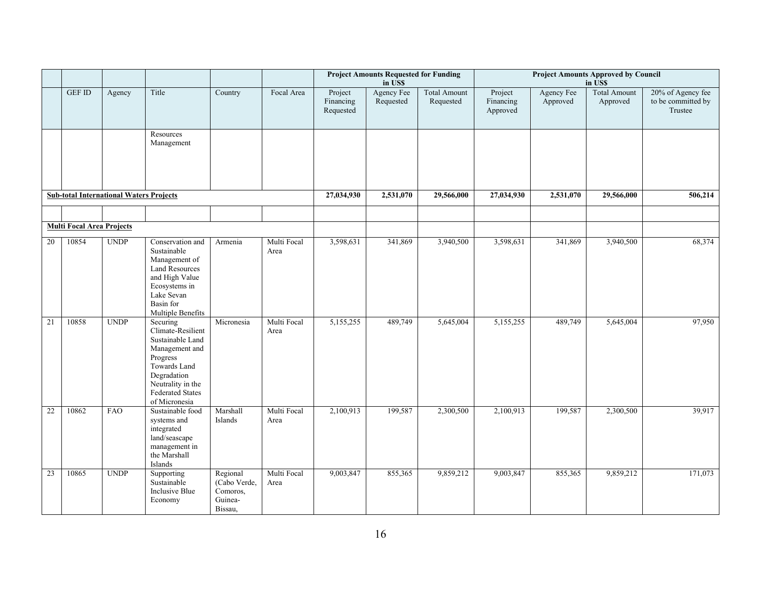|                                                |                                  |             |                                                                                                                                                                                 |                                                            |                     | <b>Project Amounts Requested for Funding</b><br><b>Project Amounts Approved by Council</b><br>in US\$<br>in US\$ |                                |                                  |                                  |                               |                                 |                                                    |
|------------------------------------------------|----------------------------------|-------------|---------------------------------------------------------------------------------------------------------------------------------------------------------------------------------|------------------------------------------------------------|---------------------|------------------------------------------------------------------------------------------------------------------|--------------------------------|----------------------------------|----------------------------------|-------------------------------|---------------------------------|----------------------------------------------------|
|                                                | <b>GEF ID</b>                    | Agency      | Title                                                                                                                                                                           | Country                                                    | Focal Area          | Project<br>Financing<br>Requested                                                                                | <b>Agency Fee</b><br>Requested | <b>Total Amount</b><br>Requested | Project<br>Financing<br>Approved | <b>Agency Fee</b><br>Approved | <b>Total Amount</b><br>Approved | 20% of Agency fee<br>to be committed by<br>Trustee |
|                                                |                                  |             | Resources<br>Management                                                                                                                                                         |                                                            |                     |                                                                                                                  |                                |                                  |                                  |                               |                                 |                                                    |
| <b>Sub-total International Waters Projects</b> |                                  |             |                                                                                                                                                                                 |                                                            |                     | 27,034,930                                                                                                       | 2,531,070                      | 29,566,000                       | 27,034,930                       | 2,531,070                     | 29,566,000                      | 506,214                                            |
|                                                | <b>Multi Focal Area Projects</b> |             |                                                                                                                                                                                 |                                                            |                     |                                                                                                                  |                                |                                  |                                  |                               |                                 |                                                    |
| 20                                             | 10854                            | <b>UNDP</b> | Conservation and<br>Sustainable<br>Management of<br><b>Land Resources</b><br>and High Value<br>Ecosystems in<br>Lake Sevan<br>Basin for<br>Multiple Benefits                    | Armenia                                                    | Multi Focal<br>Area | 3,598,631                                                                                                        | 341,869                        | 3,940,500                        | 3,598,631                        | 341,869                       | 3,940,500                       | 68,374                                             |
| 21                                             | 10858                            | <b>UNDP</b> | Securing<br>Climate-Resilient<br>Sustainable Land<br>Management and<br>Progress<br>Towards Land<br>Degradation<br>Neutrality in the<br><b>Federated States</b><br>of Micronesia | Micronesia                                                 | Multi Focal<br>Area | 5,155,255                                                                                                        | 489,749                        | 5,645,004                        | 5,155,255                        | 489,749                       | 5,645,004                       | 97,950                                             |
| 22                                             | 10862                            | FAO         | Sustainable food<br>systems and<br>integrated<br>land/seascape<br>management in<br>the Marshall<br>Islands                                                                      | Marshall<br>Islands                                        | Multi Focal<br>Area | 2,100,913                                                                                                        | 199,587                        | 2,300,500                        | 2,100,913                        | 199,587                       | 2,300,500                       | 39,917                                             |
| 23                                             | 10865                            | <b>UNDP</b> | Supporting<br>Sustainable<br>Inclusive Blue<br>Economy                                                                                                                          | Regional<br>(Cabo Verde,<br>Comoros,<br>Guinea-<br>Bissau, | Multi Focal<br>Area | 9,003,847                                                                                                        | 855,365                        | 9,859,212                        | 9,003,847                        | 855,365                       | 9,859,212                       | 171,073                                            |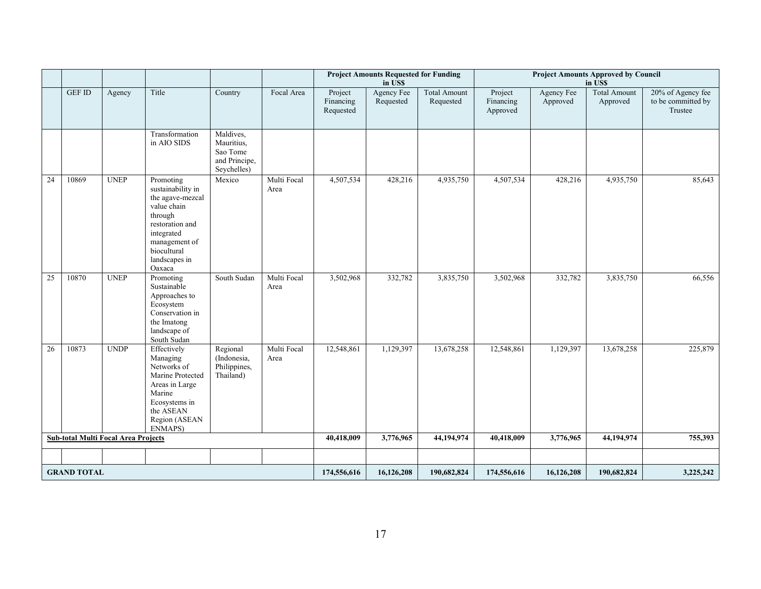|                                            |               |             |                                                                                                                                                                          |                                                                     |                     |                                   | <b>Project Amounts Requested for Funding</b><br>in US\$ |                                  | <b>Project Amounts Approved by Council</b><br>in US\$ |                               |                                 |                                                    |
|--------------------------------------------|---------------|-------------|--------------------------------------------------------------------------------------------------------------------------------------------------------------------------|---------------------------------------------------------------------|---------------------|-----------------------------------|---------------------------------------------------------|----------------------------------|-------------------------------------------------------|-------------------------------|---------------------------------|----------------------------------------------------|
|                                            | <b>GEF ID</b> | Agency      | Title                                                                                                                                                                    | Country                                                             | Focal Area          | Project<br>Financing<br>Requested | Agency Fee<br>Requested                                 | <b>Total Amount</b><br>Requested | Project<br>Financing<br>Approved                      | <b>Agency Fee</b><br>Approved | <b>Total Amount</b><br>Approved | 20% of Agency fee<br>to be committed by<br>Trustee |
|                                            |               |             | Transformation<br>in AIO SIDS                                                                                                                                            | Maldives,<br>Mauritius,<br>Sao Tome<br>and Principe,<br>Seychelles) |                     |                                   |                                                         |                                  |                                                       |                               |                                 |                                                    |
| 24                                         | 10869         | <b>UNEP</b> | Promoting<br>sustainability in<br>the agave-mezcal<br>value chain<br>through<br>restoration and<br>integrated<br>management of<br>biocultural<br>landscapes in<br>Oaxaca | Mexico                                                              | Multi Focal<br>Area | 4,507,534                         | 428,216                                                 | 4,935,750                        | 4,507,534                                             | 428,216                       | 4,935,750                       | 85,643                                             |
| 25                                         | 10870         | <b>UNEP</b> | Promoting<br>Sustainable<br>Approaches to<br>Ecosystem<br>Conservation in<br>the Imatong<br>landscape of<br>South Sudan                                                  | South Sudan                                                         | Multi Focal<br>Area | 3,502,968                         | 332,782                                                 | 3,835,750                        | 3,502,968                                             | 332,782                       | 3,835,750                       | 66,556                                             |
| 26                                         | 10873         | <b>UNDP</b> | Effectively<br>Managing<br>Networks of<br>Marine Protected<br>Areas in Large<br>Marine<br>Ecosystems in<br>the ASEAN<br>Region (ASEAN<br>ENMAPS)                         | Regional<br>(Indonesia,<br>Philippines,<br>Thailand)                | Multi Focal<br>Area | 12,548,861                        | 1,129,397                                               | 13,678,258                       | 12,548,861                                            | 1,129,397                     | 13,678,258                      | 225,879                                            |
| <b>Sub-total Multi Focal Area Projects</b> |               |             |                                                                                                                                                                          |                                                                     | 40,418,009          | 3,776,965                         | 44,194,974                                              | 40,418,009                       | 3,776,965                                             | 44,194,974                    | 755,393                         |                                                    |
|                                            |               |             |                                                                                                                                                                          |                                                                     |                     |                                   |                                                         |                                  |                                                       |                               |                                 |                                                    |
| <b>GRAND TOTAL</b>                         |               |             |                                                                                                                                                                          |                                                                     |                     | 174,556,616                       | 16,126,208                                              | 190,682,824                      | 174,556,616                                           | 16,126,208                    | 190,682,824                     | 3,225,242                                          |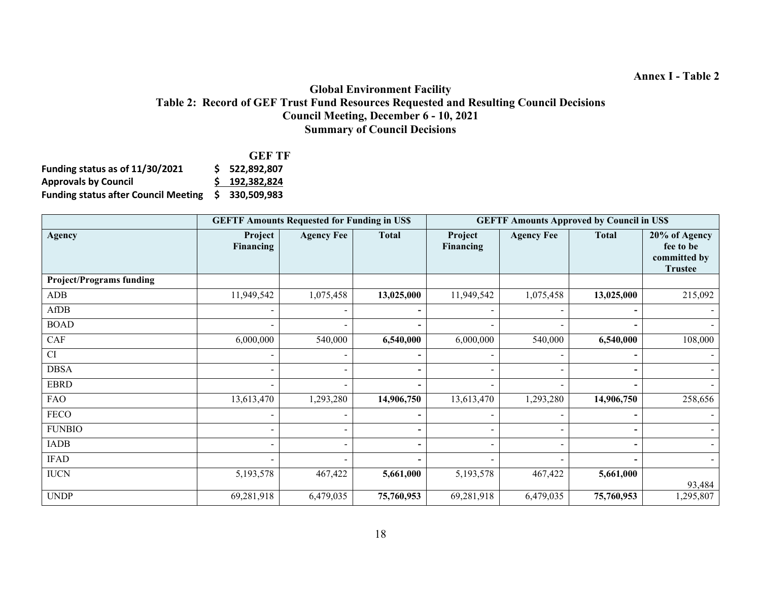#### **Global Environment Facility Table 2: Record of GEF Trust Fund Resources Requested and Resulting Council Decisions Council Meeting, December 6 - 10, 2021 Summary of Council Decisions**

|                                             | <b>GEF TF</b>   |
|---------------------------------------------|-----------------|
| Funding status as of 11/30/2021             | \$ 522,892,807  |
| <b>Approvals by Council</b>                 | $5$ 192.382.824 |
| <b>Funding status after Council Meeting</b> | \$ 330.509.983  |

|                                 |                          | <b>GEFTF Amounts Requested for Funding in US\$</b> |              | <b>GEFTF Amounts Approved by Council in US\$</b> |                          |                |                                                              |  |  |
|---------------------------------|--------------------------|----------------------------------------------------|--------------|--------------------------------------------------|--------------------------|----------------|--------------------------------------------------------------|--|--|
| <b>Agency</b>                   | Project<br>Financing     | <b>Agency Fee</b>                                  | <b>Total</b> | Project<br>Financing                             | <b>Agency Fee</b>        | <b>Total</b>   | 20% of Agency<br>fee to be<br>committed by<br><b>Trustee</b> |  |  |
| <b>Project/Programs funding</b> |                          |                                                    |              |                                                  |                          |                |                                                              |  |  |
| ADB                             | 11,949,542               | 1,075,458                                          | 13,025,000   | 11,949,542                                       | 1,075,458                | 13,025,000     | 215,092                                                      |  |  |
| AfDB                            |                          |                                                    |              |                                                  |                          |                |                                                              |  |  |
| <b>BOAD</b>                     |                          |                                                    |              |                                                  |                          |                |                                                              |  |  |
| CAF                             | 6,000,000                | 540,000                                            | 6,540,000    | 6,000,000                                        | 540,000                  | 6,540,000      | 108,000                                                      |  |  |
| CI                              | $\overline{\phantom{0}}$ | $\overline{\phantom{0}}$                           |              | $\overline{\phantom{a}}$                         | $\overline{\phantom{a}}$ | $\blacksquare$ |                                                              |  |  |
| <b>DBSA</b>                     | $\overline{\phantom{0}}$ |                                                    |              | $\overline{\phantom{0}}$                         | $\overline{\phantom{a}}$ | $\blacksquare$ |                                                              |  |  |
| <b>EBRD</b>                     |                          |                                                    |              |                                                  |                          |                |                                                              |  |  |
| <b>FAO</b>                      | 13,613,470               | 1,293,280                                          | 14,906,750   | 13,613,470                                       | 1,293,280                | 14,906,750     | 258,656                                                      |  |  |
| <b>FECO</b>                     |                          |                                                    |              |                                                  |                          |                |                                                              |  |  |
| <b>FUNBIO</b>                   | $\overline{\phantom{0}}$ |                                                    |              |                                                  | $\overline{\phantom{a}}$ | -              |                                                              |  |  |
| <b>IADB</b>                     |                          |                                                    |              |                                                  |                          | $\blacksquare$ |                                                              |  |  |
| <b>IFAD</b>                     |                          |                                                    |              |                                                  | $\overline{\phantom{a}}$ | $\blacksquare$ |                                                              |  |  |
| <b>IUCN</b>                     | 5,193,578                | 467,422                                            | 5,661,000    | 5,193,578                                        | 467,422                  | 5,661,000      | 93,484                                                       |  |  |
| <b>UNDP</b>                     | 69,281,918               | 6,479,035                                          | 75,760,953   | 69,281,918                                       | 6,479,035                | 75,760,953     | 1,295,807                                                    |  |  |